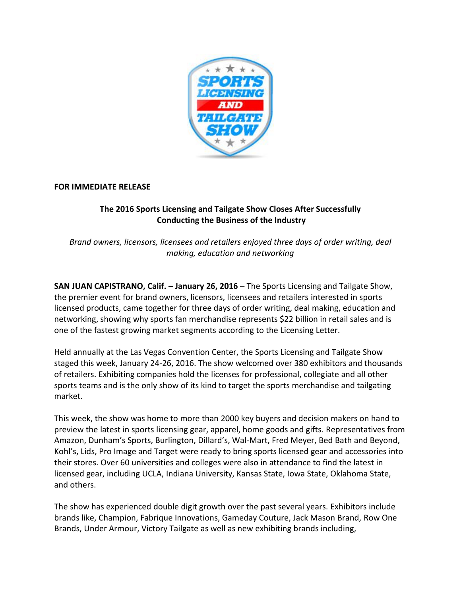

## **FOR IMMEDIATE RELEASE**

## **The 2016 Sports Licensing and Tailgate Show Closes After Successfully Conducting the Business of the Industry**

*Brand owners, licensors, licensees and retailers enjoyed three days of order writing, deal making, education and networking*

**SAN JUAN CAPISTRANO, Calif. – January 26, 2016** – The Sports Licensing and Tailgate Show, the premier event for brand owners, licensors, licensees and retailers interested in sports licensed products, came together for three days of order writing, deal making, education and networking, showing why sports fan merchandise represents \$22 billion in retail sales and is one of the fastest growing market segments according to the Licensing Letter.

Held annually at the Las Vegas Convention Center, the Sports Licensing and Tailgate Show staged this week, January 24-26, 2016. The show welcomed over 380 exhibitors and thousands of retailers. Exhibiting companies hold the licenses for professional, collegiate and all other sports teams and is the only show of its kind to target the sports merchandise and tailgating market.

This week, the show was home to more than 2000 key buyers and decision makers on hand to preview the latest in sports licensing gear, apparel, home goods and gifts. Representatives from Amazon, Dunham's Sports, Burlington, Dillard's, Wal-Mart, Fred Meyer, Bed Bath and Beyond, Kohl's, Lids, Pro Image and Target were ready to bring sports licensed gear and accessories into their stores. Over 60 universities and colleges were also in attendance to find the latest in licensed gear, including UCLA, Indiana University, Kansas State, Iowa State, Oklahoma State, and others.

The show has experienced double digit growth over the past several years. Exhibitors include brands like, Champion, Fabrique Innovations, Gameday Couture, Jack Mason Brand, Row One Brands, Under Armour, Victory Tailgate as well as new exhibiting brands including,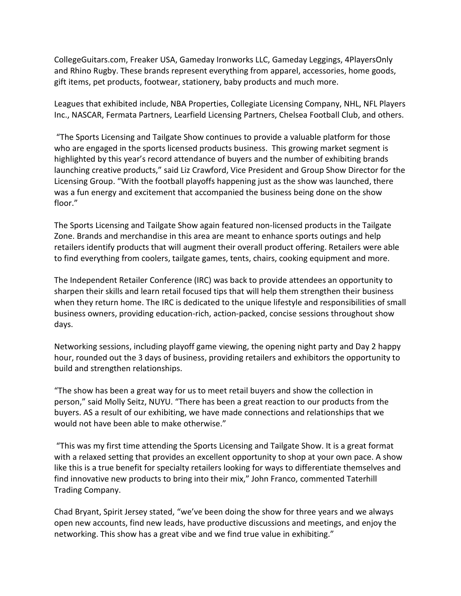CollegeGuitars.com, Freaker USA, Gameday Ironworks LLC, Gameday Leggings, 4PlayersOnly and Rhino Rugby. These brands represent everything from apparel, accessories, home goods, gift items, pet products, footwear, stationery, baby products and much more.

Leagues that exhibited include, NBA Properties, Collegiate Licensing Company, NHL, NFL Players Inc., NASCAR, Fermata Partners, Learfield Licensing Partners, Chelsea Football Club, and others.

"The Sports Licensing and Tailgate Show continues to provide a valuable platform for those who are engaged in the sports licensed products business. This growing market segment is highlighted by this year's record attendance of buyers and the number of exhibiting brands launching creative products," said Liz Crawford, Vice President and Group Show Director for the Licensing Group. "With the football playoffs happening just as the show was launched, there was a fun energy and excitement that accompanied the business being done on the show floor."

The Sports Licensing and Tailgate Show again featured non-licensed products in the Tailgate Zone. Brands and merchandise in this area are meant to enhance sports outings and help retailers identify products that will augment their overall product offering. Retailers were able to find everything from coolers, tailgate games, tents, chairs, cooking equipment and more.

The Independent Retailer Conference (IRC) was back to provide attendees an opportunity to sharpen their skills and learn retail focused tips that will help them strengthen their business when they return home. The IRC is dedicated to the unique lifestyle and responsibilities of small business owners, providing education-rich, action-packed, concise sessions throughout show days.

Networking sessions, including playoff game viewing, the opening night party and Day 2 happy hour, rounded out the 3 days of business, providing retailers and exhibitors the opportunity to build and strengthen relationships.

"The show has been a great way for us to meet retail buyers and show the collection in person," said Molly Seitz, NUYU. "There has been a great reaction to our products from the buyers. AS a result of our exhibiting, we have made connections and relationships that we would not have been able to make otherwise."

"This was my first time attending the Sports Licensing and Tailgate Show. It is a great format with a relaxed setting that provides an excellent opportunity to shop at your own pace. A show like this is a true benefit for specialty retailers looking for ways to differentiate themselves and find innovative new products to bring into their mix," John Franco, commented Taterhill Trading Company.

Chad Bryant, Spirit Jersey stated, "we've been doing the show for three years and we always open new accounts, find new leads, have productive discussions and meetings, and enjoy the networking. This show has a great vibe and we find true value in exhibiting."